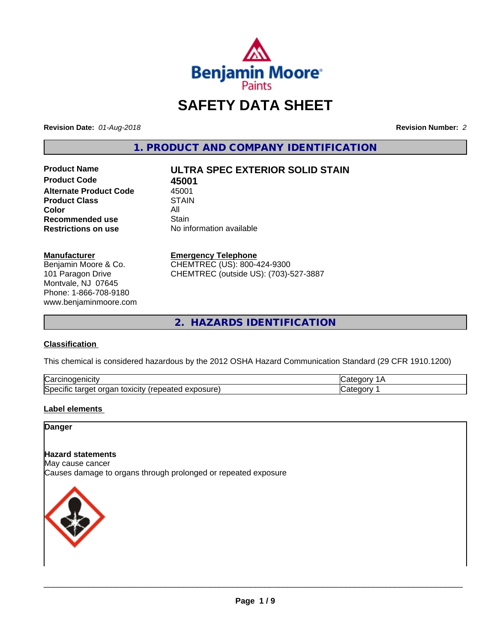

# **SAFETY DATA SHEET**

**Revision Date:** *01-Aug-2018* **Revision Number:** *2*

**1. PRODUCT AND COMPANY IDENTIFICATION**

**Product Code 45001**<br>**Alternate Product Code** 45001 **Alternate Product Code** 45001<br> **Product Class** STAIN **Product Class Color** All All **Recommended use All Stain Recommended use**<br>Restrictions on use

# **Product Name ULTRA SPEC EXTERIOR SOLID STAIN**

**No information available** 

#### **Manufacturer**

Benjamin Moore & Co. 101 Paragon Drive Montvale, NJ 07645 Phone: 1-866-708-9180 www.benjaminmoore.com

#### **Emergency Telephone**

CHEMTREC (US): 800-424-9300 CHEMTREC (outside US): (703)-527-3887

**2. HAZARDS IDENTIFICATION**

#### **Classification**

This chemical is considered hazardous by the 2012 OSHA Hazard Communication Standard (29 CFR 1910.1200)

| ∽<br>Nai<br>н                                                                      |  |
|------------------------------------------------------------------------------------|--|
| lSne<br>.<br>.∪xiCitV ′ ′<br>∼<br>osur<br>ിലെ<br>eared<br>ы<br>⊶<br>ж<br>– ^<br>__ |  |

#### **Label elements**

#### **Danger**

#### **Hazard statements**

May cause cancer Causes damage to organs through prolonged or repeated exposure

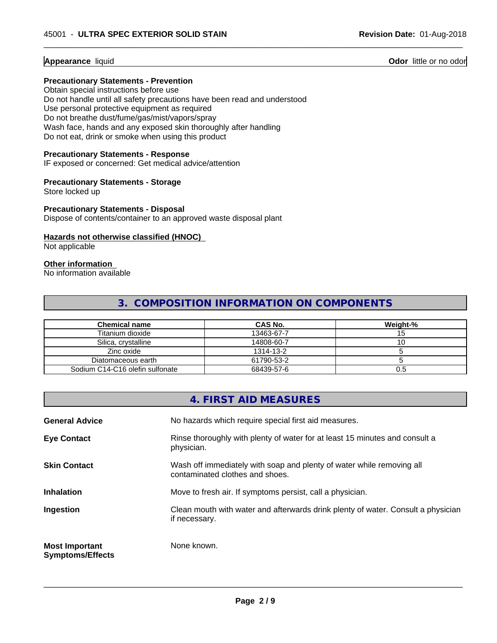#### **Appearance** liquid **Odor 11 Odor 11 Odor 11 Odor 11 Odor 11 Odor 11 Odor 11 Odor 11 Odor 11 Odor 11 Odor 11 Odor 11 Odor 11 Odor 11 Odor 11 Odor 11 Odor 11 Odor 11**

#### **Precautionary Statements - Prevention**

Obtain special instructions before use Do not handle until all safety precautions have been read and understood Use personal protective equipment as required Do not breathe dust/fume/gas/mist/vapors/spray Wash face, hands and any exposed skin thoroughly after handling Do not eat, drink or smoke when using this product

#### **Precautionary Statements - Response**

IF exposed or concerned: Get medical advice/attention

#### **Precautionary Statements - Storage**

Store locked up

#### **Precautionary Statements - Disposal**

Dispose of contents/container to an approved waste disposal plant

### **Hazards not otherwise classified (HNOC)**

Not applicable

### **Other information**

No information available

### **3. COMPOSITION INFORMATION ON COMPONENTS**

 $\overline{\phantom{a}}$  ,  $\overline{\phantom{a}}$  ,  $\overline{\phantom{a}}$  ,  $\overline{\phantom{a}}$  ,  $\overline{\phantom{a}}$  ,  $\overline{\phantom{a}}$  ,  $\overline{\phantom{a}}$  ,  $\overline{\phantom{a}}$  ,  $\overline{\phantom{a}}$  ,  $\overline{\phantom{a}}$  ,  $\overline{\phantom{a}}$  ,  $\overline{\phantom{a}}$  ,  $\overline{\phantom{a}}$  ,  $\overline{\phantom{a}}$  ,  $\overline{\phantom{a}}$  ,  $\overline{\phantom{a}}$ 

| <b>Chemical name</b>            | CAS No.    | Weight-% |
|---------------------------------|------------|----------|
| Titanium dioxide                | 13463-67-7 |          |
| Silica, crystalline             | 14808-60-7 |          |
| Zinc oxide                      | 1314-13-2  |          |
| Diatomaceous earth              | 61790-53-2 |          |
| Sodium C14-C16 olefin sulfonate | 68439-57-6 | U.5      |

### **4. FIRST AID MEASURES**

| <b>General Advice</b>                            | No hazards which require special first aid measures.                                                     |
|--------------------------------------------------|----------------------------------------------------------------------------------------------------------|
| <b>Eye Contact</b>                               | Rinse thoroughly with plenty of water for at least 15 minutes and consult a<br>physician.                |
| <b>Skin Contact</b>                              | Wash off immediately with soap and plenty of water while removing all<br>contaminated clothes and shoes. |
| <b>Inhalation</b>                                | Move to fresh air. If symptoms persist, call a physician.                                                |
| Ingestion                                        | Clean mouth with water and afterwards drink plenty of water. Consult a physician<br>if necessary.        |
| <b>Most Important</b><br><b>Symptoms/Effects</b> | None known.                                                                                              |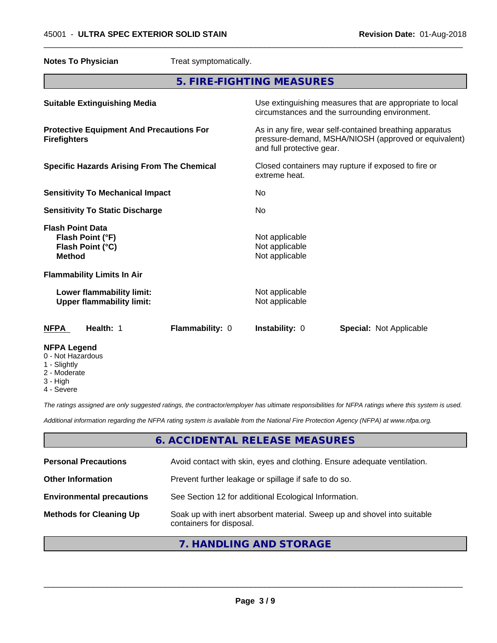**Notes To Physician** Treat symptomatically.

**5. FIRE-FIGHTING MEASURES Suitable Extinguishing Media** Media Use extinguishing measures that are appropriate to local circumstances and the surrounding environment. **Protective Equipment And Precautions For Firefighters** As in any fire, wear self-contained breathing apparatus pressure-demand, MSHA/NIOSH (approved or equivalent) and full protective gear. **Specific Hazards Arising From The Chemical** Closed containers may rupture ifexposed to fire or extreme heat. **Sensitivity To Mechanical Impact** No **Sensitivity To Static Discharge** No **Flash Point Data Flash Point (°F)** Not applicable **Flash Point (°C)** Not applicable **Method** Not applicable **Flammability Limits In Air Lower flammability limit:** Not applicable **Upper flammability limit:** Not applicable **NFPA Health:** 1 **Flammability:** 0 **Instability:** 0 **Special:** Not Applicable **NFPA Legend** 0 - Not Hazardous 1 - Slightly

 $\overline{\phantom{a}}$  ,  $\overline{\phantom{a}}$  ,  $\overline{\phantom{a}}$  ,  $\overline{\phantom{a}}$  ,  $\overline{\phantom{a}}$  ,  $\overline{\phantom{a}}$  ,  $\overline{\phantom{a}}$  ,  $\overline{\phantom{a}}$  ,  $\overline{\phantom{a}}$  ,  $\overline{\phantom{a}}$  ,  $\overline{\phantom{a}}$  ,  $\overline{\phantom{a}}$  ,  $\overline{\phantom{a}}$  ,  $\overline{\phantom{a}}$  ,  $\overline{\phantom{a}}$  ,  $\overline{\phantom{a}}$ 

- 2 Moderate
- 3 High
- 4 Severe

*The ratings assigned are only suggested ratings, the contractor/employer has ultimate responsibilities for NFPA ratings where this system is used.*

*Additional information regarding the NFPA rating system is available from the National Fire Protection Agency (NFPA) at www.nfpa.org.*

### **6. ACCIDENTAL RELEASE MEASURES**

| <b>Personal Precautions</b>      | Avoid contact with skin, eyes and clothing. Ensure adequate ventilation.                             |
|----------------------------------|------------------------------------------------------------------------------------------------------|
| <b>Other Information</b>         | Prevent further leakage or spillage if safe to do so.                                                |
| <b>Environmental precautions</b> | See Section 12 for additional Ecological Information.                                                |
| <b>Methods for Cleaning Up</b>   | Soak up with inert absorbent material. Sweep up and shovel into suitable<br>containers for disposal. |

### **7. HANDLING AND STORAGE**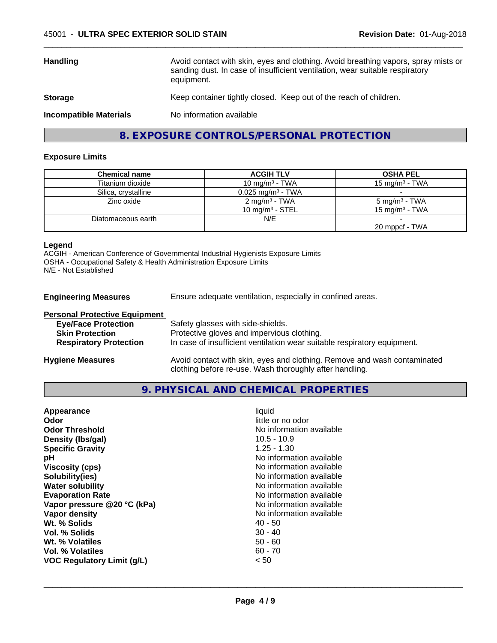| <b>Handling</b>               | Avoid contact with skin, eyes and clothing. Avoid breathing vapors, spray mists or<br>sanding dust. In case of insufficient ventilation, wear suitable respiratory<br>equipment. |
|-------------------------------|----------------------------------------------------------------------------------------------------------------------------------------------------------------------------------|
| <b>Storage</b>                | Keep container tightly closed. Keep out of the reach of children.                                                                                                                |
| <b>Incompatible Materials</b> | No information available                                                                                                                                                         |

 $\overline{\phantom{a}}$  ,  $\overline{\phantom{a}}$  ,  $\overline{\phantom{a}}$  ,  $\overline{\phantom{a}}$  ,  $\overline{\phantom{a}}$  ,  $\overline{\phantom{a}}$  ,  $\overline{\phantom{a}}$  ,  $\overline{\phantom{a}}$  ,  $\overline{\phantom{a}}$  ,  $\overline{\phantom{a}}$  ,  $\overline{\phantom{a}}$  ,  $\overline{\phantom{a}}$  ,  $\overline{\phantom{a}}$  ,  $\overline{\phantom{a}}$  ,  $\overline{\phantom{a}}$  ,  $\overline{\phantom{a}}$ 

### **8. EXPOSURE CONTROLS/PERSONAL PROTECTION**

#### **Exposure Limits**

| <b>Chemical name</b> | <b>ACGIH TLV</b>                | <b>OSHA PEL</b>          |
|----------------------|---------------------------------|--------------------------|
| Titanium dioxide     | 10 mg/m $3$ - TWA               | 15 mg/m $3$ - TWA        |
| Silica, crystalline  | $0.025$ mg/m <sup>3</sup> - TWA |                          |
| Zinc oxide           | 2 mg/m <sup>3</sup> - TWA       | $5 \text{ mg/m}^3$ - TWA |
|                      | 10 mg/m $3$ - STEL              | 15 mg/m $3$ - TWA        |
| Diatomaceous earth   | N/E                             |                          |
|                      |                                 | 20 mppcf - TWA           |

#### **Legend**

ACGIH - American Conference of Governmental Industrial Hygienists Exposure Limits OSHA - Occupational Safety & Health Administration Exposure Limits N/E - Not Established

**Engineering Measures** Ensure adequate ventilation, especially in confined areas.

| <b>Personal Protective Equipment</b> |                                                                                                                                     |
|--------------------------------------|-------------------------------------------------------------------------------------------------------------------------------------|
| <b>Eye/Face Protection</b>           | Safety glasses with side-shields.                                                                                                   |
| <b>Skin Protection</b>               | Protective gloves and impervious clothing.                                                                                          |
| <b>Respiratory Protection</b>        | In case of insufficient ventilation wear suitable respiratory equipment.                                                            |
| <b>Hygiene Measures</b>              | Avoid contact with skin, eyes and clothing. Remove and wash contaminated<br>clothing before re-use. Wash thoroughly after handling. |

#### **9. PHYSICAL AND CHEMICAL PROPERTIES**

| <b>Specific Gravity</b><br>$1.25 - 1.30$<br>No information available<br>рH<br>No information available<br><b>Viscosity (cps)</b><br>No information available<br>Solubility(ies)<br><b>Water solubility</b><br>No information available<br>No information available<br><b>Evaporation Rate</b><br>No information available<br>Vapor pressure @20 °C (kPa)<br>No information available<br>Vapor density<br>Wt. % Solids<br>40 - 50<br>$30 - 40$<br>Vol. % Solids<br>$50 - 60$<br><b>Wt. % Volatiles</b><br>$60 - 70$<br>Vol. % Volatiles<br><b>VOC Regulatory Limit (g/L)</b><br>< 50 | Appearance<br>Odor<br><b>Odor Threshold</b><br>Density (Ibs/gal) | liquid<br>little or no odor<br>No information available<br>$10.5 - 10.9$ |
|-------------------------------------------------------------------------------------------------------------------------------------------------------------------------------------------------------------------------------------------------------------------------------------------------------------------------------------------------------------------------------------------------------------------------------------------------------------------------------------------------------------------------------------------------------------------------------------|------------------------------------------------------------------|--------------------------------------------------------------------------|
|-------------------------------------------------------------------------------------------------------------------------------------------------------------------------------------------------------------------------------------------------------------------------------------------------------------------------------------------------------------------------------------------------------------------------------------------------------------------------------------------------------------------------------------------------------------------------------------|------------------------------------------------------------------|--------------------------------------------------------------------------|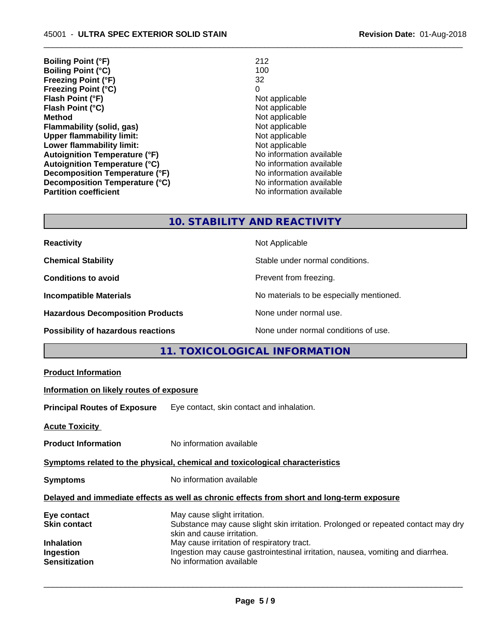| 212                      |
|--------------------------|
| 100                      |
| 32                       |
| 0                        |
| Not applicable           |
| Not applicable           |
| Not applicable           |
| Not applicable           |
| Not applicable           |
| Not applicable           |
| No information available |
| No information available |
| No information available |
| No information available |
| No information available |
|                          |

 $\overline{\phantom{a}}$  ,  $\overline{\phantom{a}}$  ,  $\overline{\phantom{a}}$  ,  $\overline{\phantom{a}}$  ,  $\overline{\phantom{a}}$  ,  $\overline{\phantom{a}}$  ,  $\overline{\phantom{a}}$  ,  $\overline{\phantom{a}}$  ,  $\overline{\phantom{a}}$  ,  $\overline{\phantom{a}}$  ,  $\overline{\phantom{a}}$  ,  $\overline{\phantom{a}}$  ,  $\overline{\phantom{a}}$  ,  $\overline{\phantom{a}}$  ,  $\overline{\phantom{a}}$  ,  $\overline{\phantom{a}}$ 

### **10. STABILITY AND REACTIVITY**

| <b>Reactivity</b>                         | Not Applicable                           |
|-------------------------------------------|------------------------------------------|
| <b>Chemical Stability</b>                 | Stable under normal conditions.          |
| <b>Conditions to avoid</b>                | Prevent from freezing.                   |
| <b>Incompatible Materials</b>             | No materials to be especially mentioned. |
| <b>Hazardous Decomposition Products</b>   | None under normal use.                   |
| <b>Possibility of hazardous reactions</b> | None under normal conditions of use.     |

## **11. TOXICOLOGICAL INFORMATION**

| <b>Product Information</b>                                                                   |                                                                                                                                                                                                                                                                                                              |  |
|----------------------------------------------------------------------------------------------|--------------------------------------------------------------------------------------------------------------------------------------------------------------------------------------------------------------------------------------------------------------------------------------------------------------|--|
| Information on likely routes of exposure                                                     |                                                                                                                                                                                                                                                                                                              |  |
| <b>Principal Routes of Exposure</b>                                                          | Eye contact, skin contact and inhalation.                                                                                                                                                                                                                                                                    |  |
| <b>Acute Toxicity</b>                                                                        |                                                                                                                                                                                                                                                                                                              |  |
| <b>Product Information</b>                                                                   | No information available                                                                                                                                                                                                                                                                                     |  |
| Symptoms related to the physical, chemical and toxicological characteristics                 |                                                                                                                                                                                                                                                                                                              |  |
| <b>Symptoms</b>                                                                              | No information available                                                                                                                                                                                                                                                                                     |  |
|                                                                                              | Delayed and immediate effects as well as chronic effects from short and long-term exposure                                                                                                                                                                                                                   |  |
| Eye contact<br><b>Skin contact</b><br><b>Inhalation</b><br>Ingestion<br><b>Sensitization</b> | May cause slight irritation.<br>Substance may cause slight skin irritation. Prolonged or repeated contact may dry<br>skin and cause irritation.<br>May cause irritation of respiratory tract.<br>Ingestion may cause gastrointestinal irritation, nausea, vomiting and diarrhea.<br>No information available |  |
|                                                                                              |                                                                                                                                                                                                                                                                                                              |  |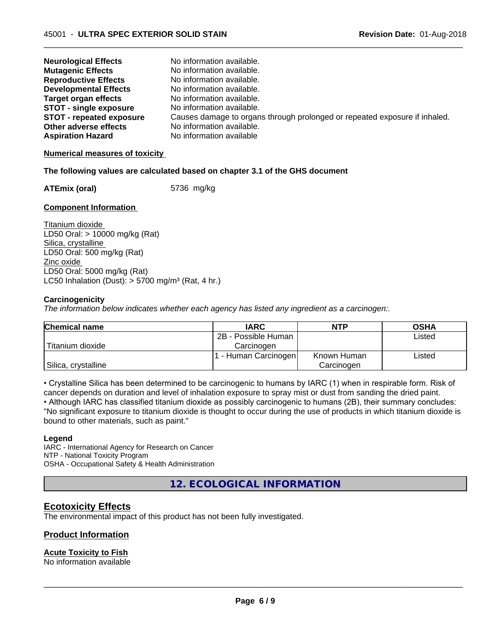| <b>Neurological Effects</b>     | No information available.                                                  |
|---------------------------------|----------------------------------------------------------------------------|
| <b>Mutagenic Effects</b>        | No information available.                                                  |
| <b>Reproductive Effects</b>     | No information available.                                                  |
| <b>Developmental Effects</b>    | No information available.                                                  |
| Target organ effects            | No information available.                                                  |
| <b>STOT - single exposure</b>   | No information available.                                                  |
| <b>STOT - repeated exposure</b> | Causes damage to organs through prolonged or repeated exposure if inhaled. |
| Other adverse effects           | No information available.                                                  |
| <b>Aspiration Hazard</b>        | No information available                                                   |

 $\overline{\phantom{a}}$  ,  $\overline{\phantom{a}}$  ,  $\overline{\phantom{a}}$  ,  $\overline{\phantom{a}}$  ,  $\overline{\phantom{a}}$  ,  $\overline{\phantom{a}}$  ,  $\overline{\phantom{a}}$  ,  $\overline{\phantom{a}}$  ,  $\overline{\phantom{a}}$  ,  $\overline{\phantom{a}}$  ,  $\overline{\phantom{a}}$  ,  $\overline{\phantom{a}}$  ,  $\overline{\phantom{a}}$  ,  $\overline{\phantom{a}}$  ,  $\overline{\phantom{a}}$  ,  $\overline{\phantom{a}}$ 

#### **Numerical measures of toxicity**

#### **The following values are calculated based on chapter 3.1 of the GHS document**

**ATEmix (oral)** 5736 mg/kg

#### **Component Information**

Titanium dioxide LD50 Oral: > 10000 mg/kg (Rat) Silica, crystalline LD50 Oral: 500 mg/kg (Rat) Zinc oxide LD50 Oral: 5000 mg/kg (Rat) LC50 Inhalation (Dust):  $> 5700$  mg/m<sup>3</sup> (Rat, 4 hr.)

#### **Carcinogenicity**

*The information below indicateswhether each agency has listed any ingredient as a carcinogen:.*

| <b>Chemical name</b> | <b>IARC</b>         | NTP         | <b>OSHA</b> |
|----------------------|---------------------|-------------|-------------|
|                      | 2B - Possible Human |             | Listed      |
| Titanium dioxide     | Carcinoɑen          |             |             |
|                      | - Human Carcinogen  | Known Human | Listed      |
| Silica, crystalline  |                     | Carcinogen  |             |

• Crystalline Silica has been determined to be carcinogenic to humans by IARC (1) when in respirable form. Risk of cancer depends on duration and level of inhalation exposure to spray mist or dust from sanding the dried paint.• Although IARC has classified titanium dioxide as possibly carcinogenic to humans (2B), their summary concludes: "No significant exposure to titanium dioxide is thought to occur during the use of products in which titanium dioxide is bound to other materials, such as paint."

#### **Legend**

IARC - International Agency for Research on Cancer NTP - National Toxicity Program OSHA - Occupational Safety & Health Administration

**12. ECOLOGICAL INFORMATION**

### **Ecotoxicity Effects**

The environmental impact of this product has not been fully investigated.

#### **Product Information**

#### **Acute Toxicity to Fish**

No information available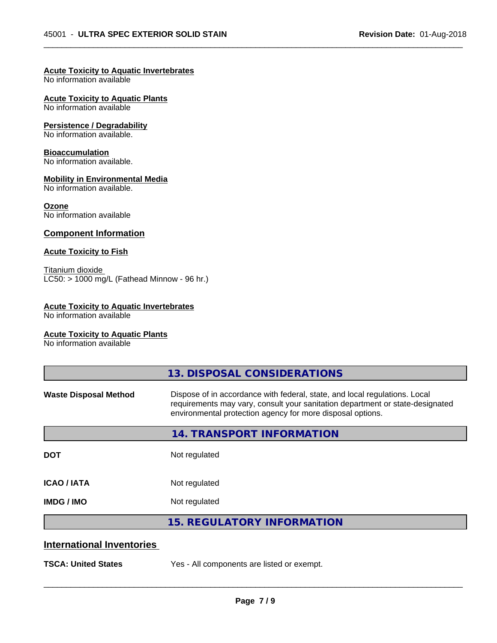$\overline{\phantom{a}}$  ,  $\overline{\phantom{a}}$  ,  $\overline{\phantom{a}}$  ,  $\overline{\phantom{a}}$  ,  $\overline{\phantom{a}}$  ,  $\overline{\phantom{a}}$  ,  $\overline{\phantom{a}}$  ,  $\overline{\phantom{a}}$  ,  $\overline{\phantom{a}}$  ,  $\overline{\phantom{a}}$  ,  $\overline{\phantom{a}}$  ,  $\overline{\phantom{a}}$  ,  $\overline{\phantom{a}}$  ,  $\overline{\phantom{a}}$  ,  $\overline{\phantom{a}}$  ,  $\overline{\phantom{a}}$ 

#### **Acute Toxicity to Aquatic Invertebrates**

No information available

**Acute Toxicity to Aquatic Plants**

No information available

#### **Persistence / Degradability**

No information available.

#### **Bioaccumulation**

No information available.

#### **Mobility in Environmental Media**

No information available.

#### **Ozone**

No information available

#### **Component Information**

#### **Acute Toxicity to Fish**

Titanium dioxide  $\overline{\text{LC50:}}$  > 1000 mg/L (Fathead Minnow - 96 hr.)

#### **Acute Toxicity to Aquatic Invertebrates**

No information available

#### **Acute Toxicity to Aquatic Plants**

No information available

|                                  | 13. DISPOSAL CONSIDERATIONS                                                                                                                                                                                               |
|----------------------------------|---------------------------------------------------------------------------------------------------------------------------------------------------------------------------------------------------------------------------|
| <b>Waste Disposal Method</b>     | Dispose of in accordance with federal, state, and local regulations. Local<br>requirements may vary, consult your sanitation department or state-designated<br>environmental protection agency for more disposal options. |
|                                  | <b>14. TRANSPORT INFORMATION</b>                                                                                                                                                                                          |
| <b>DOT</b>                       | Not regulated                                                                                                                                                                                                             |
| <b>ICAO/IATA</b>                 | Not regulated                                                                                                                                                                                                             |
| <b>IMDG/IMO</b>                  | Not regulated                                                                                                                                                                                                             |
|                                  | <b>15. REGULATORY INFORMATION</b>                                                                                                                                                                                         |
| <b>International Inventories</b> |                                                                                                                                                                                                                           |
| <b>TSCA: United States</b>       | Yes - All components are listed or exempt.                                                                                                                                                                                |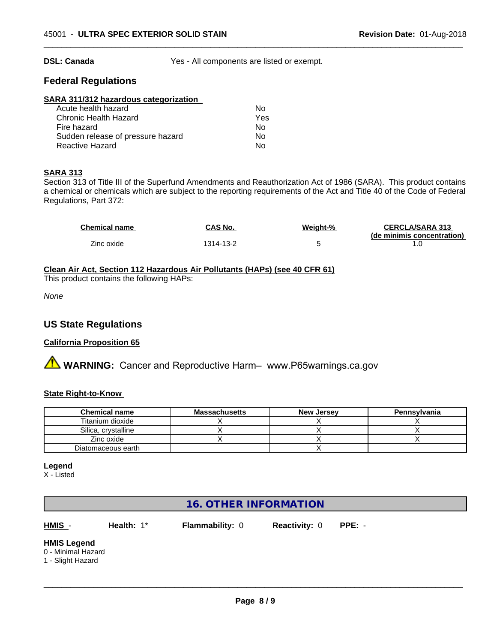**DSL: Canada** Yes - All components are listed or exempt.

 $\overline{\phantom{a}}$  ,  $\overline{\phantom{a}}$  ,  $\overline{\phantom{a}}$  ,  $\overline{\phantom{a}}$  ,  $\overline{\phantom{a}}$  ,  $\overline{\phantom{a}}$  ,  $\overline{\phantom{a}}$  ,  $\overline{\phantom{a}}$  ,  $\overline{\phantom{a}}$  ,  $\overline{\phantom{a}}$  ,  $\overline{\phantom{a}}$  ,  $\overline{\phantom{a}}$  ,  $\overline{\phantom{a}}$  ,  $\overline{\phantom{a}}$  ,  $\overline{\phantom{a}}$  ,  $\overline{\phantom{a}}$ 

### **Federal Regulations**

#### **SARA 311/312 hazardous categorization**

| Acute health hazard               | Nο  |  |
|-----------------------------------|-----|--|
| Chronic Health Hazard             | Yes |  |
| Fire hazard                       | N٥  |  |
| Sudden release of pressure hazard | Nο  |  |
| Reactive Hazard                   | Nο  |  |

#### **SARA 313**

Section 313 of Title III of the Superfund Amendments and Reauthorization Act of 1986 (SARA). This product contains a chemical or chemicals which are subject to the reporting requirements of the Act and Title 40 of the Code of Federal Regulations, Part 372:

| <b>Chemical name</b> | CAS No.   | Weight-% | <b>CERCLA/SARA 313</b>     |
|----------------------|-----------|----------|----------------------------|
|                      |           |          | (de minimis concentration) |
| Zinc oxide           | 1314-13-2 |          |                            |

**Clean Air Act,Section 112 Hazardous Air Pollutants (HAPs) (see 40 CFR 61)** This product contains the following HAPs:

*None*

### **US State Regulations**

#### **California Proposition 65**

**A WARNING:** Cancer and Reproductive Harm– www.P65warnings.ca.gov

#### **State Right-to-Know**

| <b>Chemical name</b> | Massachusetts | <b>New Jersey</b> | Pennsylvania |
|----------------------|---------------|-------------------|--------------|
| Titanium dioxide     |               |                   |              |
| Silica, crystalline  |               |                   |              |
| Zinc oxide           |               |                   |              |
| Diatomaceous earth   |               |                   |              |

#### **Legend**

X - Listed

### **16. OTHER INFORMATION**

**HMIS** - **Health:** 1\* **Flammability:** 0 **Reactivity:** 0 **PPE:** -

 $\overline{\phantom{a}}$  ,  $\overline{\phantom{a}}$  ,  $\overline{\phantom{a}}$  ,  $\overline{\phantom{a}}$  ,  $\overline{\phantom{a}}$  ,  $\overline{\phantom{a}}$  ,  $\overline{\phantom{a}}$  ,  $\overline{\phantom{a}}$  ,  $\overline{\phantom{a}}$  ,  $\overline{\phantom{a}}$  ,  $\overline{\phantom{a}}$  ,  $\overline{\phantom{a}}$  ,  $\overline{\phantom{a}}$  ,  $\overline{\phantom{a}}$  ,  $\overline{\phantom{a}}$  ,  $\overline{\phantom{a}}$ 

#### **HMIS Legend**

0 - Minimal Hazard

1 - Slight Hazard